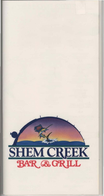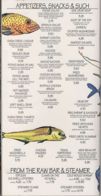## <u>APPETIZERS, SNACKS & SUCH</u>

**HOUSE SALAD** FRESH GREENS SERVED WITH YOUR CHOICE OF DRESSING (RANCH, LOUIE, BLUE CHEESE, PEPPER PARMESAN, OR OIL & VINEGAR).

2.75

**SPINACH SALAD** 

FRESH SPINACH, MUSHROOMS,<br>BACON AND EGG, SERVED WITH<br>YOUR CHOICE OF DRESSING. 3.50

**SHRIMP COCKTAIL** LARGE, CHILLED SHRIMP, ICED<br>AND SERVED TRADITIONALLY<br>WITH COCKTAIL SAUCE.

5.95

**NACHOS** 

TORTILLA CHIPS COVERED WITH<br>MELTED CHEESE AND JALAPENOS. 3.95

**MACHO NACHOS** TORTILLA CHIPS COVERED WITH SPICED BEEF, BEANS, CHEESES, ONIONS,

5.95

**CHICKEN NACHOS** SUBSTITUTE MEXI-CHICKEN FOR THE BEEF IN OUR MACHO NACHOS

5.95

**BUFFALO CHICKEN WINGS** 

SPICY HOT WINGS WITH BLUE CHEESE DRESSING AND CELERY STICKS.

3.95

CALAMARI DEEP FRIED WITH LEMON-<br>PEPPER SEASONING. 4.95

SHE CRAB SOUP AS RECOMMENDED IN USA TODAY

3.25

SOUP OF THE DAY CHANGES DAILY AT THE WHIM OF THE CHEF.

 $(YARIES)$ 

STUFFED MUSHROOMS MUSHROOM CAPS STUFFED WITH CRABMEAT<br>AND CHEESE, TOPPED WITH SOUR CREAM.

4.95

**SMOKED SALMON** GARNISHED WITH ONIONS AND CAPERS

5.95

ONION RINGS FRESH ONIONS, DIPPED IN BEER<br>BATTER AND DEEP FRIED.

> 3.50 FRIED

**MUSHROOMS** FRESH MUSHROOMS, DIPPED IN BEER BATTER AND DEEP FRIED.

3.95

CRAB DIP HOME MADE WITH FRESH

4.75 BBQ SHRIMP & SAUSAGE

SHRIMP AND HOT SMOKED SAUSAGE<br>SAUTEED IN OUR ZESTY BBQ SAUCE 5.50

> **FRIED ARTICHOKE HEARTS**

SERVED WITH MUSTARD SAUCE 4.95

FRIED GRITS 'N SHRIMP WITH BROWN GRAVY

4.95

**FRIED** MOZZARELLA SERVED WITH MARINARA SAUCE. 3.75

**SHEM CREEK CAESAR** 

ROMAINE LETTUCE TOSSED WITH

AND CAESAR DRESSING.

3.95

DEVILED CRAB HOMEMADE WITH FRESH

3.25

POTATO SKINS (PLAIN)

A BASKETFUL OF HOMEMADE SKINS.

SERVED WITH SOUR CREAM.

2.95

POTATO SKINS

(ALL THE WAY)

A FLATTERFUL OF SKINS WITH CHEESE,

4.95

**HOT SMOKED** 

**SAUSAGE** 

GRILLED SAUSAGE SERVED WITH

MUSTARD SAUCE.

2.95

**SOFT SHELL CRAB** 

ONE CRAB, GRILLED IN OUR SHEM

**SPICE** 5.95

**SHEM CREEK T-SHIRTS** JUST LIKE OUR MENU... A VARIETY OF

"TASTEFUL" DESIGNS. ASK AT THE HOSTESS COUNTER.

4.25

**TEXAS TORPEDOES** CHEESE-STUFFED DEEP FRIED JALAPENOS 3.95

**MEXI-BEAN DIP** BEANS, MEXI-BEEF, ONIONS, TOMATOES, JALAPENOS,<br>SOUR CREAM & CHEESE,

BAKED TOGETHER, AND SERVED WITH TORTILLA CHIPS. 395

### THE RAV V BAR & STEA

**TOPLESS** (1/2 SHELL) OYSTERS 1/2 DOZ 4.25 DOZ. 7.75

> **STEAMED CLAMS** poz 7.75

**CLAMS ON THE** 1/2 SHELL poz 7.75

COLD BOILED SHRIMP 1/3 LB. 4.95 1/2 LB. 7.50 LB. 13.95

**STEAMED OYSTERS** DOZ. 7.75 BUCKET 10.75

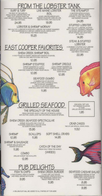# ROM THE LOBSTER TAN

**SURF & TURF** 

THE BEST OF TWO WORLDS.<br>WHOLE MAINE LOBSTER FROM THE DEEP, FILET MIGNON FROM THE AND NEW POTATOES.

24.95

**LIVE MAINE LOBSTER** BOIL

MAINE LOBSTER SERVED WITH SMOKED SAUGAGE, CORN-ON-COB, NEW POTATOES, AND COLE SLAW.

19.95

#### LOBSTER & SHRIMP MORNAY

ONE HALF OF A LOBSTER STUFFED WITH LOBSTER AND SHRIMP SIMMERED WITH MUSHROOMS IN A CREAMY CHEESE SAUCE, SERVED WITH SPUDS OR RICE AND FRESH VEGETABLE.

15.25

## EAST COOPER FAVORIT

SHEM CREEK SHRIMP BOIL A HALF-POUND OF SHRIMP, SERVED WITH SMOKED SAUSAGE.<br>CORN-ON-COB, NEW POTATOES AND SLAW.

10.95

SHRIMP ETOUFFEE SHRIMP SIMMERED IN A SPICY<br>CAJUN BROWN SAUCE SERVED OVER RICE, SIDED WITH FRESH VEGETABLES.

10.95

**SHRIMP CREOLE** LOCAL SHRIMP SIMMERED IN<br>CREOLE SAUCE, SERVED OVER<br>RICE, SIDED WITH FRESH **VEGETABLES** 

10.95

### THE STEAMPOT

A SEAFOOD EXTRAVAGANZA. LIVE MAINE LOBSTER, SHRIMP,<br>OYSTERS, CLAMS, CORN-ON-COB

24.95

#### **STUFFED LOBSTER**

ONE HALF OF A LOBSTER, STUFFED<br>WITH A SPECIAL CRABMEAT DRESSING AND BAKED, SERVED WITH SHEM **GPUDG OR RICE AND VEGETABLE** OF THE DAY.

14.95

**STEAK & STUFFED LOBSTER** 

A CRABMEAT STUFFED HALF LOBSTER COUPLED WITH FILET MIGNON AND FRESH VEGETABLE.

22.95

FOR EXTRA "ZIP" ADD HOT SMOKED SAUSAGE TO YOUR GRILLED SEAFOOD ENTREE.

1.95

**CRAB CAKES** TWO OF OUR SPECIAL CRAB CAKES. 11.50



## D SEAF

SEAFOOD GUMBO

A COMBINATION OF SEAFOOD<br>
(SHRIMP, SCALLOPS, OYSTERS & FISH)<br>
AND SAUSAGE, SIMMERED<br>
IN A SPICY CAJUN STOCK SERVED<br>
OVER RICE, SIDED WITH FRESH VEGETABLES

11.95

THE SPECIALTY OF THE HOUSE FRESH SEAFOOD, QUICKLY GRILLED (TO SEAR IN JUICES)<br>WITH BUTTER, LEMON JUICE AND OUR SPECIAL BLEND OF SPICES.

SHEM CREEK SEAFOOD SPECTACULAR

SHRIMP, SCALLOPS AND A FILET OF<br>FLOUNDER, SIDED WITH A DEVILED CRAB.<br>NO SUBSTITUTIONS PLEASE.

13.95

SHRIMP 10.95

**SCALLOPS** 11.95

**SOFT SHELL CRABS** 14.95

SHRIMP & SAUSAGE SHRIMP GRILLED WITH HOT

11.95

COMBO GRILLED SHRIMP AND SCALLOPS 12.95

FISH 'N CHIPS

A PUB FAVORITE, FRIED FLOUNDER

AND FRIES, SERVED WITH SLAW.

9.95



**SHEM CREEK BURGER** 

A THICK AND JUICY BACON

CHEESEBURGER, COMPLETE WITH ALL

THE TRIMMINGS, SERVED WITH

FRENCH FRIES AND SLAW.

5.95



**SEAFOOD CAESAR SALAD** A GENEROUS SERVING OF OUR SHEM CREEK CAESAR SALAD, TOPPED WITH YOUR CHOICE OF CHILLED SHRIMP

8.95 **OR SMOKED SALMON** 9.95

A 15% GRATUITY WILL BE ADDED TO ALL PARTIES OF 7 OR MORE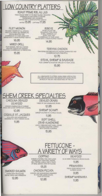

**CREAM, LEEKS AND PARMESAN** 

12.95

CHICKEN AND MUSHROOMS SIMMERED IN A BUTTER-LEMON SAUCE. **OVER FETTUCCINE** 

10.95

**SHRIMP MARINARA** 11.95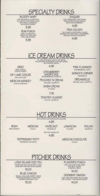### SPECIALTY DRINKS

**BLOODY MARY** OUR OWN SPECIAL CONCOCTION OF CLAMATO AND SPICES LACED WITH VODKA, GARNISHED WITH BOILED SHRIMP.

3.95

**RUM PUNCH** DRINK OF BARBADOS.

MOUNT GAY RUM, LIME, TRIPLE SEC, BITTERS. 3.95

DAIQUIRI COOL, REFRESHING AND FROZEN. YOUR CHOICE OF LIME, BANANA, PEACH OR STRAWBERRY.

4.95

PINA COLADA THE CLASSIC ISLAND DRINK, CHOOSE<br>BETWEEN THE TRADITIONAL STRAWBERRY, BANANA, PEACH OR AMARETTO.

4.95

#### DRINKS CREA

ALL ARE MADE WITH VANILLA ICE CREAM, WITH WHIPPED CREAM.

**OREO** OREO COOKIES,

KEY LIME COOLER **RUM, LIME JUICE** 

**MEXICAN MONKEY** KAHLUA, BANANAS

**IRISH** 

**IRISH WHISKEY** 

4.95

#### **STRAWBERRY SHORTCAKE** STRAWBERRIES, AMARETTO

PEACHES 'N CREAM PEACHES, AMARETTO

> SHEM CREAM **TIA MARIA**

> > 7.75

**TOASTED ALMOND** KAHLUA, AMARETTO

PINK FLAMINGO STRAWBERRIES, VOOKA

**MONCK'S CORNER FRANGELICO** 

**DREAMSICLE** ORANGE JUICE, AMARETTO

WITH COFFEE AND DESIGNATED LIQUEURS

4.95

**HAZELNUT FRANGELICO** 

WITH HOT CHOCOLATE 4.95

**JAMAICAN TIA MARIA** 

**ITALIAN AMARETTO** 

**MEXICAN CHOCOLATE** 

PEPPERMINT PATTY PEPPERMINT SCHNAPPS

**MEXICAN** 

**KAHLUA** 

**KAHLUA** 

## **TCHER DRINKS**

LONG ISLAND ICED TEA

TASTES LIKE ICED TEA BUT WITH A KICK! MADE WITH THE FOUR WHITE LIQUORS

#### 13.00

**BLUE CANCUN** 

TEQUILA, LIME JUICE, SWEET 'N SOUR<br>AND BLUE CURACAO, A GIANT SEA<br>COLORED MARGARITA, OLEI

13.00

PLANTER'S PUNCH LIGHT AND DARK RUMS MIXED WITH FRUIT JUICES. A TROPICAL TREAT.

14.00

GOOMBAY SMASH LIGHT AND DARK RUMS, FRUIT JUICES

AND COCONUT. A BAHAMIAN DELIGHT.

14.00